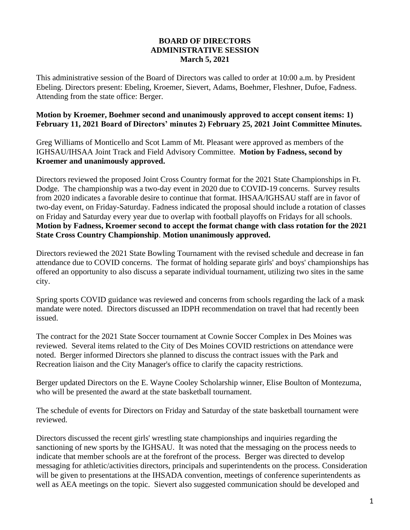## **BOARD OF DIRECTORS ADMINISTRATIVE SESSION March 5, 2021**

This administrative session of the Board of Directors was called to order at 10:00 a.m. by President Ebeling. Directors present: Ebeling, Kroemer, Sievert, Adams, Boehmer, Fleshner, Dufoe, Fadness. Attending from the state office: Berger.

## **Motion by Kroemer, Boehmer second and unanimously approved to accept consent items: 1) February 11, 2021 Board of Directors' minutes 2) February 25, 2021 Joint Committee Minutes.**

Greg Williams of Monticello and Scot Lamm of Mt. Pleasant were approved as members of the IGHSAU/IHSAA Joint Track and Field Advisory Committee. **Motion by Fadness, second by Kroemer and unanimously approved.**

Directors reviewed the proposed Joint Cross Country format for the 2021 State Championships in Ft. Dodge. The championship was a two-day event in 2020 due to COVID-19 concerns. Survey results from 2020 indicates a favorable desire to continue that format. IHSAA/IGHSAU staff are in favor of two-day event, on Friday-Saturday. Fadness indicated the proposal should include a rotation of classes on Friday and Saturday every year due to overlap with football playoffs on Fridays for all schools. **Motion by Fadness, Kroemer second to accept the format change with class rotation for the 2021 State Cross Country Championship**. **Motion unanimously approved.**

Directors reviewed the 2021 State Bowling Tournament with the revised schedule and decrease in fan attendance due to COVID concerns. The format of holding separate girls' and boys' championships has offered an opportunity to also discuss a separate individual tournament, utilizing two sites in the same city.

Spring sports COVID guidance was reviewed and concerns from schools regarding the lack of a mask mandate were noted. Directors discussed an IDPH recommendation on travel that had recently been issued.

The contract for the 2021 State Soccer tournament at Cownie Soccer Complex in Des Moines was reviewed. Several items related to the City of Des Moines COVID restrictions on attendance were noted. Berger informed Directors she planned to discuss the contract issues with the Park and Recreation liaison and the City Manager's office to clarify the capacity restrictions.

Berger updated Directors on the E. Wayne Cooley Scholarship winner, Elise Boulton of Montezuma, who will be presented the award at the state basketball tournament.

The schedule of events for Directors on Friday and Saturday of the state basketball tournament were reviewed.

Directors discussed the recent girls' wrestling state championships and inquiries regarding the sanctioning of new sports by the IGHSAU. It was noted that the messaging on the process needs to indicate that member schools are at the forefront of the process. Berger was directed to develop messaging for athletic/activities directors, principals and superintendents on the process. Consideration will be given to presentations at the IHSADA convention, meetings of conference superintendents as well as AEA meetings on the topic. Sievert also suggested communication should be developed and